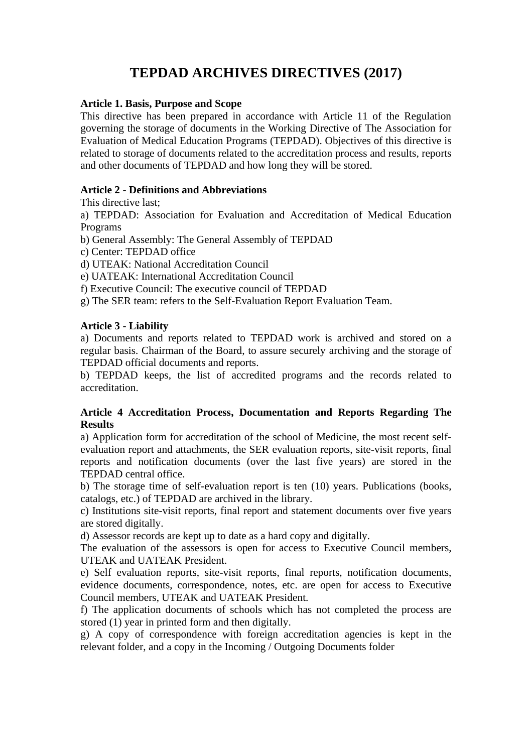# **TEPDAD ARCHIVES DIRECTIVES (2017)**

# **Article 1. Basis, Purpose and Scope**

This directive has been prepared in accordance with Article 11 of the Regulation governing the storage of documents in the Working Directive of The Association for Evaluation of Medical Education Programs (TEPDAD). Objectives of this directive is related to storage of documents related to the accreditation process and results, reports and other documents of TEPDAD and how long they will be stored.

# **Article 2 - Definitions and Abbreviations**

This directive last;

a) TEPDAD: Association for Evaluation and Accreditation of Medical Education Programs

b) General Assembly: The General Assembly of TEPDAD

c) Center: TEPDAD office

d) UTEAK: National Accreditation Council

e) UATEAK: International Accreditation Council

f) Executive Council: The executive council of TEPDAD

g) The SER team: refers to the Self-Evaluation Report Evaluation Team.

# **Article 3 - Liability**

a) Documents and reports related to TEPDAD work is archived and stored on a regular basis. Chairman of the Board, to assure securely archiving and the storage of TEPDAD official documents and reports.

b) TEPDAD keeps, the list of accredited programs and the records related to accreditation.

# **Article 4 Accreditation Process, Documentation and Reports Regarding The Results**

a) Application form for accreditation of the school of Medicine, the most recent selfevaluation report and attachments, the SER evaluation reports, site-visit reports, final reports and notification documents (over the last five years) are stored in the TEPDAD central office.

b) The storage time of self-evaluation report is ten (10) years. Publications (books, catalogs, etc.) of TEPDAD are archived in the library.

c) Institutions site-visit reports, final report and statement documents over five years are stored digitally.

d) Assessor records are kept up to date as a hard copy and digitally.

The evaluation of the assessors is open for access to Executive Council members, UTEAK and UATEAK President.

e) Self evaluation reports, site-visit reports, final reports, notification documents, evidence documents, correspondence, notes, etc. are open for access to Executive Council members, UTEAK and UATEAK President.

f) The application documents of schools which has not completed the process are stored (1) year in printed form and then digitally.

g) A copy of correspondence with foreign accreditation agencies is kept in the relevant folder, and a copy in the Incoming / Outgoing Documents folder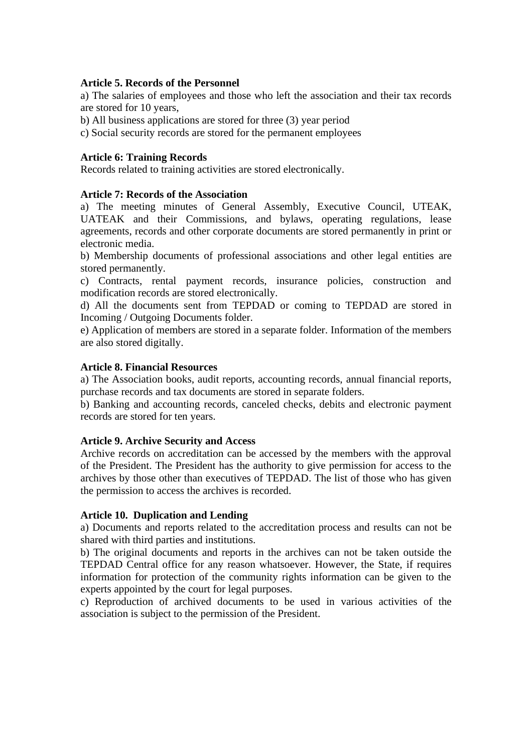# **Article 5. Records of the Personnel**

a) The salaries of employees and those who left the association and their tax records are stored for 10 years,

b) All business applications are stored for three (3) year period

c) Social security records are stored for the permanent employees

### **Article 6: Training Records**

Records related to training activities are stored electronically.

### **Article 7: Records of the Association**

a) The meeting minutes of General Assembly, Executive Council, UTEAK, UATEAK and their Commissions, and bylaws, operating regulations, lease agreements, records and other corporate documents are stored permanently in print or electronic media.

b) Membership documents of professional associations and other legal entities are stored permanently.

c) Contracts, rental payment records, insurance policies, construction and modification records are stored electronically.

d) All the documents sent from TEPDAD or coming to TEPDAD are stored in Incoming / Outgoing Documents folder.

e) Application of members are stored in a separate folder. Information of the members are also stored digitally.

## **Article 8. Financial Resources**

a) The Association books, audit reports, accounting records, annual financial reports, purchase records and tax documents are stored in separate folders.

b) Banking and accounting records, canceled checks, debits and electronic payment records are stored for ten years.

#### **Article 9. Archive Security and Access**

Archive records on accreditation can be accessed by the members with the approval of the President. The President has the authority to give permission for access to the archives by those other than executives of TEPDAD. The list of those who has given the permission to access the archives is recorded.

# **Article 10. Duplication and Lending**

a) Documents and reports related to the accreditation process and results can not be shared with third parties and institutions.

b) The original documents and reports in the archives can not be taken outside the TEPDAD Central office for any reason whatsoever. However, the State, if requires information for protection of the community rights information can be given to the experts appointed by the court for legal purposes.

c) Reproduction of archived documents to be used in various activities of the association is subject to the permission of the President.